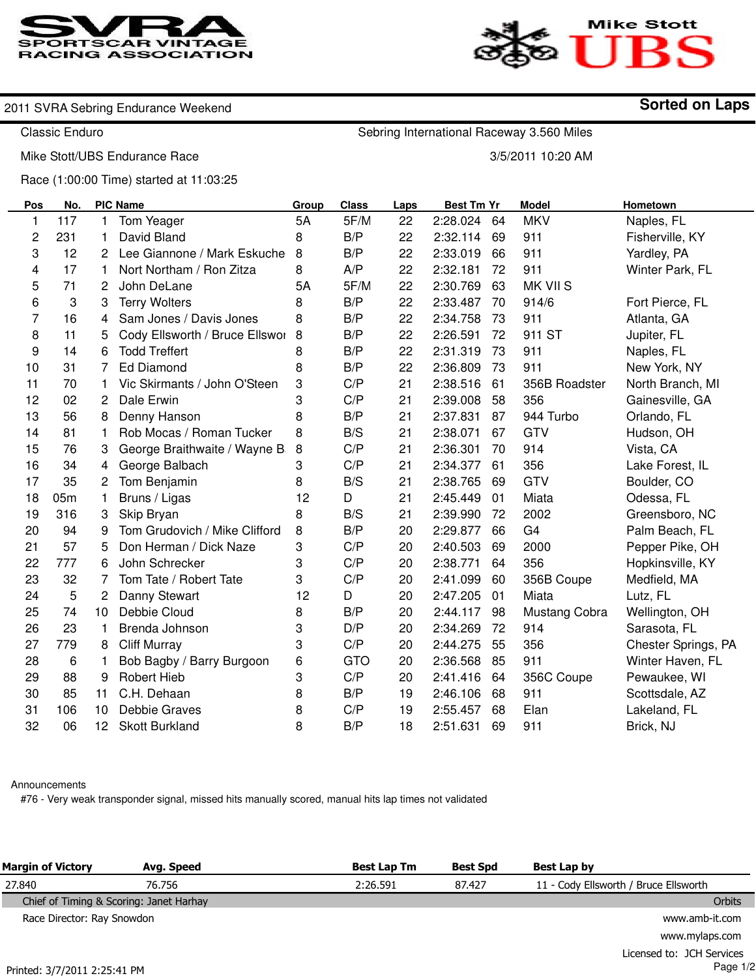



**Sorted on Laps**

## 2011 SVRA Sebring Endurance Weekend

Classic Enduro

Sebring International Raceway 3.560 Miles

Mike Stott/UBS Endurance Race

3/5/2011 10:20 AM

Race (1:00:00 Time) started at 11:03:25

| Pos          | No. |                 | <b>PIC Name</b>                | Group | <b>Class</b> | Laps | <b>Best Tm Yr</b> |    | <b>Model</b>   | Hometown            |
|--------------|-----|-----------------|--------------------------------|-------|--------------|------|-------------------|----|----------------|---------------------|
| $\mathbf{1}$ | 117 | 1               | Tom Yeager                     | 5A    | 5F/M         | 22   | 2:28.024          | 64 | <b>MKV</b>     | Naples, FL          |
| 2            | 231 | 1               | David Bland                    | 8     | B/P          | 22   | 2:32.114          | 69 | 911            | Fisherville, KY     |
| 3            | 12  | 2               | Lee Giannone / Mark Eskuche    | 8     | B/P          | 22   | 2:33.019          | 66 | 911            | Yardley, PA         |
| 4            | 17  | 1               | Nort Northam / Ron Zitza       | 8     | A/P          | 22   | 2:32.181          | 72 | 911            | Winter Park, FL     |
| 5            | 71  | 2               | John DeLane                    | 5A    | 5F/M         | 22   | 2:30.769          | 63 | MK VII S       |                     |
| 6            | 3   | 3               | <b>Terry Wolters</b>           | 8     | B/P          | 22   | 2:33.487          | 70 | 914/6          | Fort Pierce, FL     |
| 7            | 16  | 4               | Sam Jones / Davis Jones        | 8     | B/P          | 22   | 2:34.758          | 73 | 911            | Atlanta, GA         |
| 8            | 11  | 5               | Cody Ellsworth / Bruce Ellswor | 8     | B/P          | 22   | 2:26.591          | 72 | 911 ST         | Jupiter, FL         |
| 9            | 14  | 6               | <b>Todd Treffert</b>           | 8     | B/P          | 22   | 2:31.319          | 73 | 911            | Naples, FL          |
| 10           | 31  | 7               | <b>Ed Diamond</b>              | 8     | B/P          | 22   | 2:36.809          | 73 | 911            | New York, NY        |
| 11           | 70  | 1               | Vic Skirmants / John O'Steen   | 3     | C/P          | 21   | 2:38.516          | 61 | 356B Roadster  | North Branch, MI    |
| 12           | 02  | 2               | Dale Erwin                     | 3     | C/P          | 21   | 2:39.008          | 58 | 356            | Gainesville, GA     |
| 13           | 56  | 8               | Denny Hanson                   | 8     | B/P          | 21   | 2:37.831          | 87 | 944 Turbo      | Orlando, FL         |
| 14           | 81  | 1               | Rob Mocas / Roman Tucker       | 8     | B/S          | 21   | 2:38.071          | 67 | <b>GTV</b>     | Hudson, OH          |
| 15           | 76  | 3               | George Braithwaite / Wayne B   | 8     | C/P          | 21   | 2:36.301          | 70 | 914            | Vista, CA           |
| 16           | 34  | 4               | George Balbach                 | 3     | C/P          | 21   | 2:34.377          | 61 | 356            | Lake Forest, IL     |
| 17           | 35  | 2               | Tom Benjamin                   | 8     | B/S          | 21   | 2:38.765          | 69 | <b>GTV</b>     | Boulder, CO         |
| 18           | 05m | 1               | Bruns / Ligas                  | 12    | D            | 21   | 2:45.449          | 01 | Miata          | Odessa, FL          |
| 19           | 316 | 3               | Skip Bryan                     | 8     | B/S          | 21   | 2:39.990          | 72 | 2002           | Greensboro, NC      |
| 20           | 94  | 9               | Tom Grudovich / Mike Clifford  | 8     | B/P          | 20   | 2:29.877          | 66 | G <sub>4</sub> | Palm Beach, FL      |
| 21           | 57  | 5               | Don Herman / Dick Naze         | 3     | C/P          | 20   | 2:40.503          | 69 | 2000           | Pepper Pike, OH     |
| 22           | 777 | 6               | John Schrecker                 | 3     | C/P          | 20   | 2:38.771          | 64 | 356            | Hopkinsville, KY    |
| 23           | 32  | 7               | Tom Tate / Robert Tate         | 3     | C/P          | 20   | 2:41.099          | 60 | 356B Coupe     | Medfield, MA        |
| 24           | 5   | 2               | Danny Stewart                  | 12    | D            | 20   | 2:47.205          | 01 | Miata          | Lutz, FL            |
| 25           | 74  | 10              | Debbie Cloud                   | 8     | B/P          | 20   | 2:44.117          | 98 | Mustang Cobra  | Wellington, OH      |
| 26           | 23  | 1               | Brenda Johnson                 | 3     | D/P          | 20   | 2:34.269          | 72 | 914            | Sarasota, FL        |
| 27           | 779 | 8               | <b>Cliff Murray</b>            | 3     | C/P          | 20   | 2:44.275          | 55 | 356            | Chester Springs, PA |
| 28           | 6   | 1               | Bob Bagby / Barry Burgoon      | 6     | <b>GTO</b>   | 20   | 2:36.568          | 85 | 911            | Winter Haven, FL    |
| 29           | 88  | 9               | <b>Robert Hieb</b>             | 3     | C/P          | 20   | 2:41.416          | 64 | 356C Coupe     | Pewaukee, WI        |
| 30           | 85  | 11              | C.H. Dehaan                    | 8     | B/P          | 19   | 2:46.106          | 68 | 911            | Scottsdale, AZ      |
| 31           | 106 | 10              | Debbie Graves                  | 8     | C/P          | 19   | 2:55.457          | 68 | Elan           | Lakeland, FL        |
| 32           | 06  | 12 <sup>°</sup> | <b>Skott Burkland</b>          | 8     | B/P          | 18   | 2:51.631          | 69 | 911            | Brick, NJ           |

## Announcements

#76 - Very weak transponder signal, missed hits manually scored, manual hits lap times not validated

| <b>Margin of Victory</b>                | Avg. Speed | <b>Best Lap Tm</b> | <b>Best Spd</b> | Best Lap by                           |
|-----------------------------------------|------------|--------------------|-----------------|---------------------------------------|
| 27.840                                  | 76.756     | 2:26.591           | 87.427          | 11 - Cody Ellsworth / Bruce Ellsworth |
| Chief of Timing & Scoring: Janet Harhay |            |                    |                 | Orbits                                |
| Race Director: Ray Snowdon              |            |                    |                 | www.amb-it.com                        |
|                                         |            |                    |                 | www.mylaps.com                        |
|                                         |            |                    |                 | Licensed to: JCH Services             |

Printed: 3/7/2011 2:25:41 PM

Page 1/2